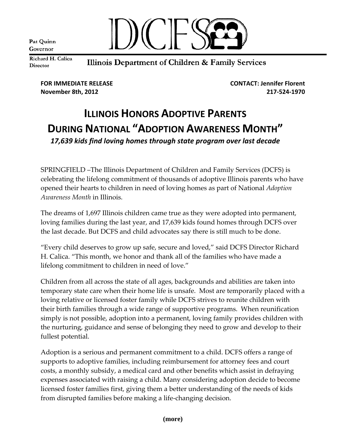Pat Quinn Governor



Richard H. Calica Director

Illinois Department of Children & Family Services

**FOR IMMEDIATE RELEASE CONTACT: Jennifer Florent November 8th, 2012 217‐524‐1970**

## **ILLINOIS HONORS ADOPTIVE PARENTS DURING NATIONAL "ADOPTION AWARENESS MONTH"** *17,639 kids find loving homes through state program over last decade*

SPRINGFIELD –The Illinois Department of Children and Family Services (DCFS) is celebrating the lifelong commitment of thousands of adoptive Illinois parents who have opened their hearts to children in need of loving homes as part of National *Adoption Awareness Month* in Illinois.

The dreams of 1,697 Illinois children came true as they were adopted into permanent, loving families during the last year, and 17,639 kids found homes through DCFS over the last decade. But DCFS and child advocates say there is still much to be done.

"Every child deserves to grow up safe, secure and loved," said DCFS Director Richard H. Calica. "This month, we honor and thank all of the families who have made a lifelong commitment to children in need of love."

Children from all across the state of all ages, backgrounds and abilities are taken into temporary state care when their home life is unsafe. Most are temporarily placed with a loving relative or licensed foster family while DCFS strives to reunite children with their birth families through a wide range of supportive programs. When reunification simply is not possible, adoption into a permanent, loving family provides children with the nurturing, guidance and sense of belonging they need to grow and develop to their fullest potential.

Adoption is a serious and permanent commitment to a child. DCFS offers a range of supports to adoptive families, including reimbursement for attorney fees and court costs, a monthly subsidy, a medical card and other benefits which assist in defraying expenses associated with raising a child. Many considering adoption decide to become licensed foster families first, giving them a better understanding of the needs of kids from disrupted families before making a life‐changing decision.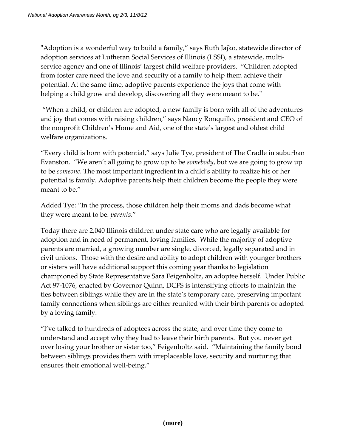"Adoption is a wonderful way to build a family," says Ruth Jajko, statewide director of adoption services at Lutheran Social Services of Illinois (LSSI), a statewide, multi‐ service agency and one of Illinois' largest child welfare providers. "Children adopted from foster care need the love and security of a family to help them achieve their potential. At the same time, adoptive parents experience the joys that come with helping a child grow and develop, discovering all they were meant to be."

"When a child, or children are adopted, a new family is born with all of the adventures and joy that comes with raising children," says Nancy Ronquillo, president and CEO of the nonprofit Children's Home and Aid, one of the state's largest and oldest child welfare organizations.

"Every child is born with potential," says Julie Tye, president of The Cradle in suburban Evanston. "We aren't all going to grow up to be *somebody*, but we are going to grow up to be *someone*. The most important ingredient in a child's ability to realize his or her potential is family. Adoptive parents help their children become the people they were meant to be."

Added Tye: "In the process, those children help their moms and dads become what they were meant to be: *parents*."

Today there are 2,040 Illinois children under state care who are legally available for adoption and in need of permanent, loving families. While the majority of adoptive parents are married, a growing number are single, divorced, legally separated and in civil unions. Those with the desire and ability to adopt children with younger brothers or sisters will have additional support this coming year thanks to legislation championed by State Representative Sara Feigenholtz, an adoptee herself. Under Public Act 97‐1076, enacted by Governor Quinn, DCFS is intensifying efforts to maintain the ties between siblings while they are in the state's temporary care, preserving important family connections when siblings are either reunited with their birth parents or adopted by a loving family.

"I've talked to hundreds of adoptees across the state, and over time they come to understand and accept why they had to leave their birth parents. But you never get over losing your brother or sister too," Feigenholtz said. "Maintaining the family bond between siblings provides them with irreplaceable love, security and nurturing that ensures their emotional well-being."